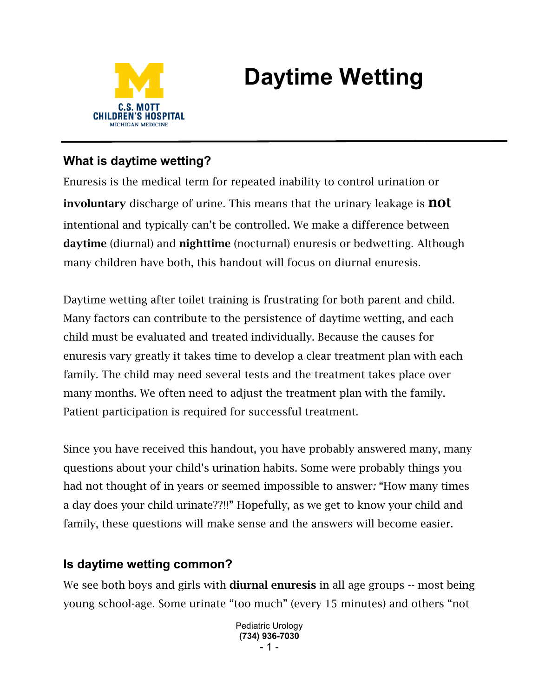

# **Daytime Wetting**

# **What is daytime wetting?**

Enuresis is the medical term for repeated inability to control urination or involuntary discharge of urine. This means that the urinary leakage is **not** intentional and typically can't be controlled. We make a difference between daytime (diurnal) and nighttime (nocturnal) enuresis or bedwetting. Although many children have both, this handout will focus on diurnal enuresis.

Daytime wetting after toilet training is frustrating for both parent and child. Many factors can contribute to the persistence of daytime wetting, and each child must be evaluated and treated individually. Because the causes for enuresis vary greatly it takes time to develop a clear treatment plan with each family. The child may need several tests and the treatment takes place over many months. We often need to adjust the treatment plan with the family. Patient participation is required for successful treatment.

Since you have received this handout, you have probably answered many, many questions about your child's urination habits. Some were probably things you had not thought of in years or seemed impossible to answer*:* "How many times a day does your child urinate??!!" Hopefully, as we get to know your child and family, these questions will make sense and the answers will become easier.

## **Is daytime wetting common?**

We see both boys and girls with **diurnal enuresis** in all age groups -- most being young school-age. Some urinate "too much" (every 15 minutes) and others "not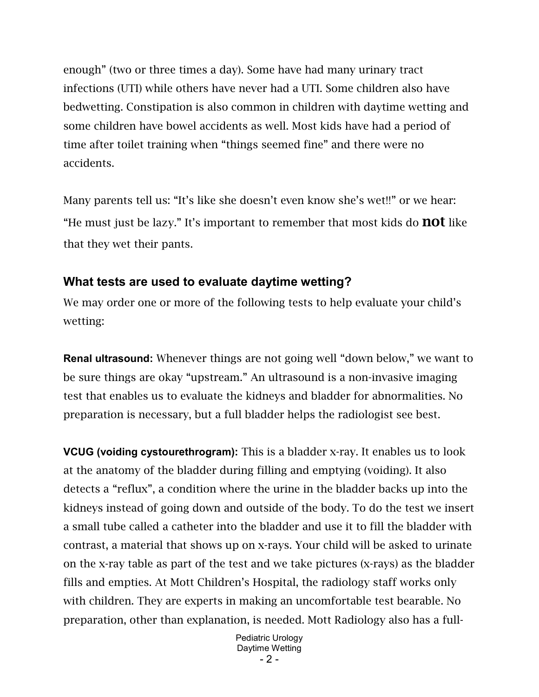enough" (two or three times a day). Some have had many urinary tract infections (UTI) while others have never had a UTI. Some children also have bedwetting. Constipation is also common in children with daytime wetting and some children have bowel accidents as well. Most kids have had a period of time after toilet training when "things seemed fine" and there were no accidents.

Many parents tell us: "It's like she doesn't even know she's wet!!" or we hear: "He must just be lazy." It's important to remember that most kids do **not** like that they wet their pants.

#### **What tests are used to evaluate daytime wetting?**

We may order one or more of the following tests to help evaluate your child's wetting:

**Renal ultrasound:** Whenever things are not going well "down below," we want to be sure things are okay "upstream." An ultrasound is a non-invasive imaging test that enables us to evaluate the kidneys and bladder for abnormalities. No preparation is necessary, but a full bladder helps the radiologist see best.

**VCUG (voiding cystourethrogram):** This is a bladder x-ray. It enables us to look at the anatomy of the bladder during filling and emptying (voiding). It also detects a "reflux", a condition where the urine in the bladder backs up into the kidneys instead of going down and outside of the body. To do the test we insert a small tube called a catheter into the bladder and use it to fill the bladder with contrast, a material that shows up on x-rays. Your child will be asked to urinate on the x-ray table as part of the test and we take pictures (x-rays) as the bladder fills and empties. At Mott Children's Hospital, the radiology staff works only with children. They are experts in making an uncomfortable test bearable. No preparation, other than explanation, is needed. Mott Radiology also has a full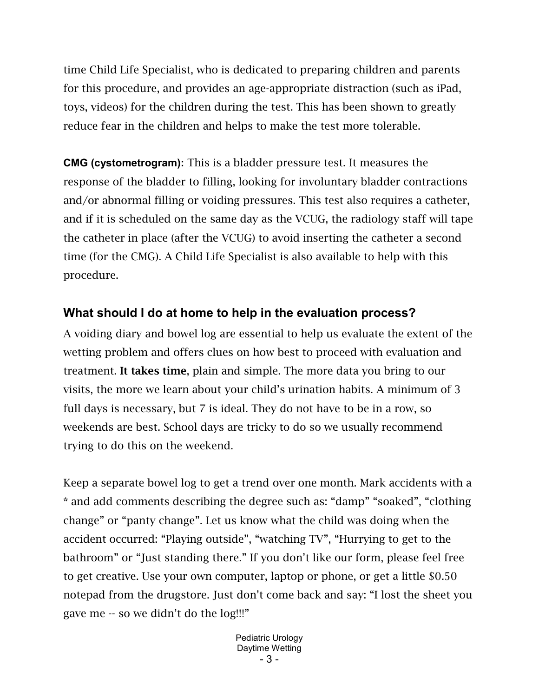time Child Life Specialist, who is dedicated to preparing children and parents for this procedure, and provides an age-appropriate distraction (such as iPad, toys, videos) for the children during the test. This has been shown to greatly reduce fear in the children and helps to make the test more tolerable.

**CMG (cystometrogram):** This is a bladder pressure test. It measures the response of the bladder to filling, looking for involuntary bladder contractions and/or abnormal filling or voiding pressures. This test also requires a catheter, and if it is scheduled on the same day as the VCUG, the radiology staff will tape the catheter in place (after the VCUG) to avoid inserting the catheter a second time (for the CMG). A Child Life Specialist is also available to help with this procedure.

# **What should I do at home to help in the evaluation process?**

A voiding diary and bowel log are essential to help us evaluate the extent of the wetting problem and offers clues on how best to proceed with evaluation and treatment. It takes time, plain and simple. The more data you bring to our visits, the more we learn about your child's urination habits. A minimum of 3 full days is necessary, but 7 is ideal. They do not have to be in a row, so weekends are best. School days are tricky to do so we usually recommend trying to do this on the weekend.

Keep a separate bowel log to get a trend over one month. Mark accidents with a \* and add comments describing the degree such as: "damp" "soaked", "clothing change" or "panty change". Let us know what the child was doing when the accident occurred: "Playing outside", "watching TV", "Hurrying to get to the bathroom" or "Just standing there." If you don't like our form, please feel free to get creative. Use your own computer, laptop or phone, or get a little \$0.50 notepad from the drugstore. Just don't come back and say: "I lost the sheet you gave me -- so we didn't do the log!!!"